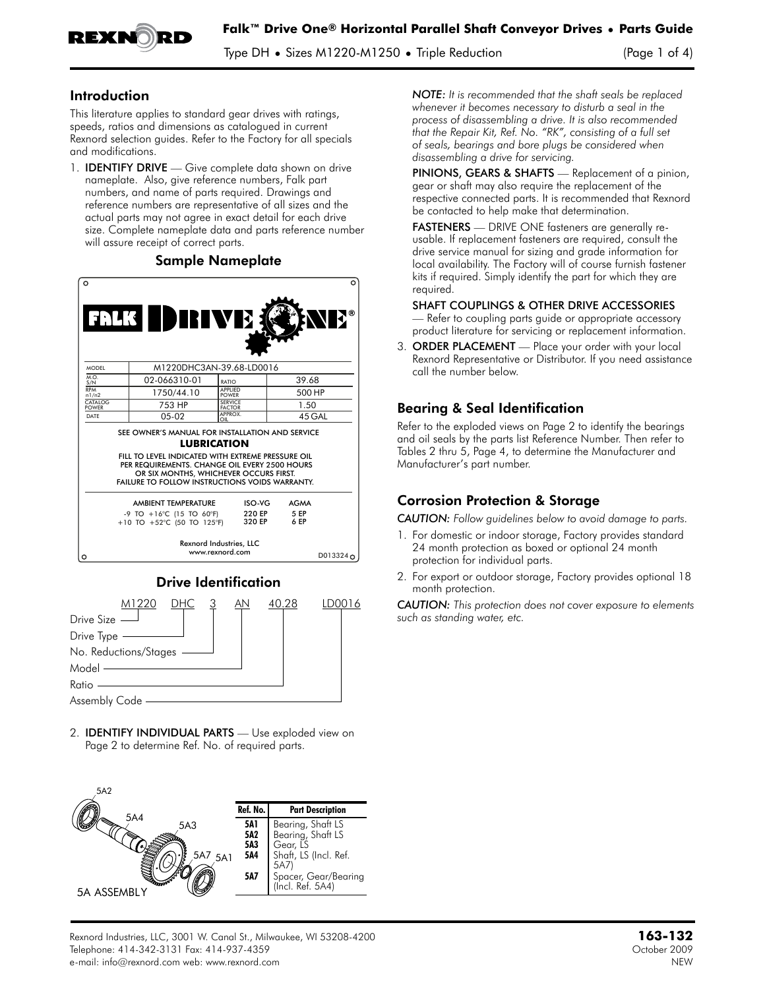

Type DH **•** Sizes M1220-M1250 **•** Triple Reduction (Page 1 of 4)

#### Introduction

This literature applies to standard gear drives with ratings, speeds, ratios and dimensions as catalogued in current Rexnord selection guides. Refer to the Factory for all specials and modifications.

1. **IDENTIFY DRIVE** — Give complete data shown on drive nameplate. Also, give reference numbers, Falk part numbers, and name of parts required. Drawings and reference numbers are representative of all sizes and the actual parts may not agree in exact detail for each drive size. Complete nameplate data and parts reference number will assure receipt of correct parts.

#### Sample Nameplate  $\circ$ ® MODEL M1220DHC3AN-39.68-LD0016  $M.O.\nS/N$ 02-066310-01 39.68 I <sub>RATIC</sub> RPM n1/n2 1750/44.10 APPLIED POWER 500 HP CATALO 753 HP SERVICE FACTOR 1.50 APPPOY  $05-02$ 45 GAL DATE SEE OWNER'S MANUAL FOR INSTALLATION AND SERVICE **LUBRICATION** FILL TO LEVEL INDICATED WITH EXTREME PRESSURE OIL PER REQUIREMENTS. CHANGE OIL EVERY 2500 HOURS OR SIX MONTHS, WHICHEVER OCCURS FIRST.<br>FAILURE TO FOLLOW INSTRUCTIONS VOIDS WARRANTY.



Drive Identification



2. IDENTIFY INDIVIDUAL PARTS — Use exploded view on Page 2 to determine Ref. No. of required parts.



*NOTE: It is recommended that the shaft seals be replaced whenever it becomes necessary to disturb a seal in the process of disassembling a drive. It is also recommended that the Repair Kit, Ref. No. "RK", consisting of a full set of seals, bearings and bore plugs be considered when disassembling a drive for servicing.*

PINIONS, GEARS & SHAFTS - Replacement of a pinion, gear or shaft may also require the replacement of the respective connected parts. It is recommended that Rexnord be contacted to help make that determination.

FASTENERS — DRIVE ONE fasteners are generally reusable. If replacement fasteners are required, consult the drive service manual for sizing and grade information for local availability. The Factory will of course furnish fastener kits if required. Simply identify the part for which they are required.

#### SHAFT COUPLINGS & OTHER DRIVE ACCESSORIES

— Refer to coupling parts guide or appropriate accessory product literature for servicing or replacement information.

3. ORDER PLACEMENT — Place your order with your local Rexnord Representative or Distributor. If you need assistance call the number below.

## Bearing & Seal Identification

Refer to the exploded views on Page 2 to identify the bearings and oil seals by the parts list Reference Number. Then refer to Tables 2 thru 5, Page 4, to determine the Manufacturer and Manufacturer's part number.

## Corrosion Protection & Storage

*CAUTION: Follow guidelines below to avoid damage to parts.*

- 1. For domestic or indoor storage, Factory provides standard 24 month protection as boxed or optional 24 month protection for individual parts.
- 2. For export or outdoor storage, Factory provides optional 18 month protection.

*CAUTION: This protection does not cover exposure to elements such as standing water, etc.*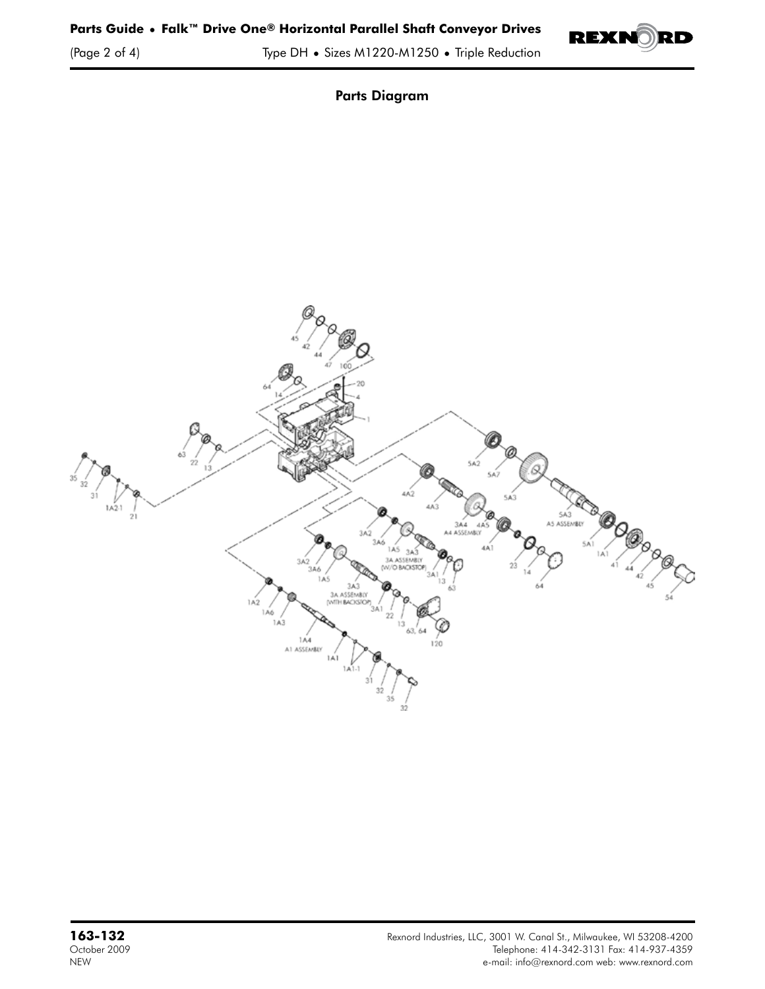

Parts Diagram

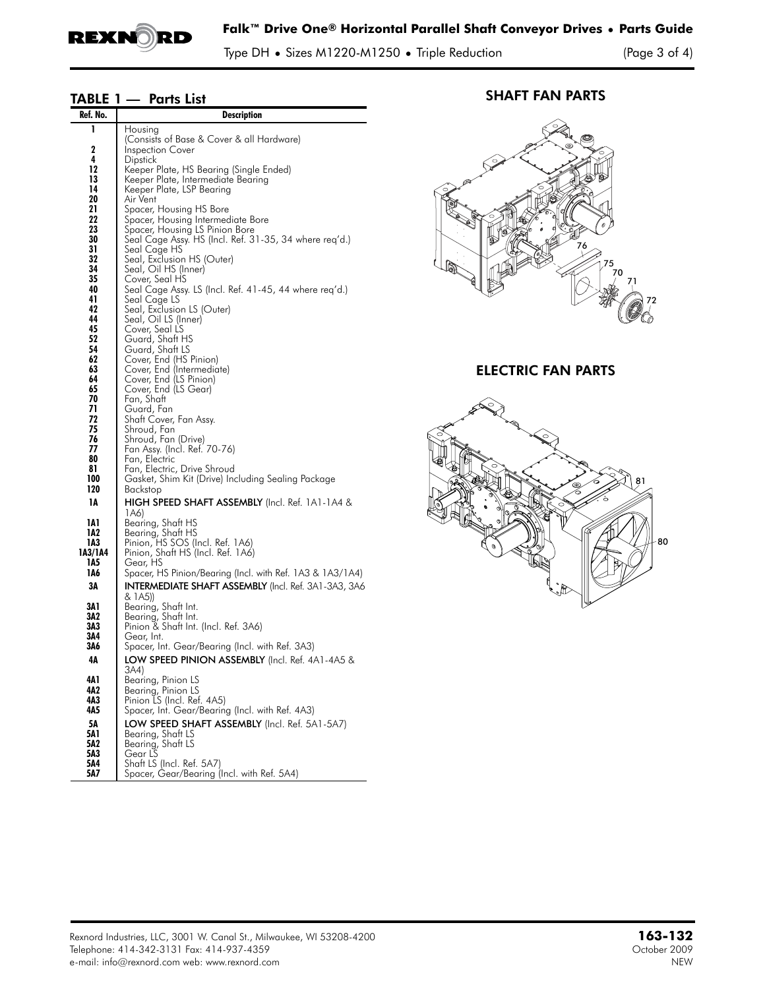

Type DH **•** Sizes M1220-M1250 **•** Triple Reduction (Page 3 of 4)

# TABLE 1 — Parts List

| Ref. No.       | <b>Description</b>                                                      |  |  |  |  |
|----------------|-------------------------------------------------------------------------|--|--|--|--|
| ı              | Housing                                                                 |  |  |  |  |
|                | (Consists of Base & Cover & all Hardware)                               |  |  |  |  |
| 2<br>4         | <b>Inspection Cover</b><br>Dipstick                                     |  |  |  |  |
| 12             | Keeper Plate, HS Bearing (Single Ended)                                 |  |  |  |  |
| 13             | Keeper Plate, Intermediate Bearing                                      |  |  |  |  |
| 14<br>20       | Keeper Plate, LSP Bearing<br>Air Vent                                   |  |  |  |  |
| 21             | Spacer, Housing HS Bore                                                 |  |  |  |  |
| 22             | Spacer, Housing Intermediate Bore                                       |  |  |  |  |
| 23             | Spacer, Housing LS Pinion Bore                                          |  |  |  |  |
| 30<br>31       | Seal Cage Assy. HS (Incl. Ref. 31-35, 34 where req'd.)<br>Seal Cage HS  |  |  |  |  |
| 32             | Seal, Exclusion HS (Outer)                                              |  |  |  |  |
| 34             | Seal, Oil HS (Inner)                                                    |  |  |  |  |
| 35<br>40       | Cover, Seal HS                                                          |  |  |  |  |
| 41             | Seal Cage Assy. LS (Incl. Ret. 41-45, 44 where req'd.)<br>Seal Cage LS  |  |  |  |  |
| 42             | Seal, Exclusion LS (Outer)                                              |  |  |  |  |
| 44             | Seal, Oil LS (Inner)                                                    |  |  |  |  |
| 45<br>52       | Cover, Seal LS<br>Guard, Shaft HS                                       |  |  |  |  |
| 54             | Guard, Shaft LS                                                         |  |  |  |  |
| 62             | Cover, End (HS Pinion)                                                  |  |  |  |  |
| 63<br>64       | Cover, End (Intermediate)<br>Cover, End (LS Pinion)                     |  |  |  |  |
| 65             | Cover, End (LS Gear)                                                    |  |  |  |  |
| 70             | Fan, Shaft                                                              |  |  |  |  |
| 71<br>72       | Guard, Fan                                                              |  |  |  |  |
| 75             | Shatt Cover, Fan Assy.<br>Shroud, Fan                                   |  |  |  |  |
| 76             | Shroud, Fan (Drive)                                                     |  |  |  |  |
| 77             | Fan Assy. (Incl. Ref. 70-76)                                            |  |  |  |  |
| 80<br>81       | Fan, Electric<br>Fan, Electric, Drive Shroud                            |  |  |  |  |
| 100            | Gasket, Shim Kit (Drive) Including Sealing Package                      |  |  |  |  |
| 120            | Backstop                                                                |  |  |  |  |
| 1А             | HIGH SPEED SHAFT ASSEMBLY (Incl. Ref. 1A1-1A4 &                         |  |  |  |  |
| IAI            | 1A6)<br>Bearing, Shaft HS                                               |  |  |  |  |
| 1A2            | Bearing, Shatt HS                                                       |  |  |  |  |
| 1A3            | Pinion, HS SOS (Incl. Ref. 1A6)                                         |  |  |  |  |
| 1A3/1A4<br>1A5 | Pinion, Shaft HS (Incl. Ref. 1A6)<br>Gear, HS                           |  |  |  |  |
| 1A6            | Spacer, HS Pinion/Bearing (Incl. with Ref. 1A3 & 1A3/1A4)               |  |  |  |  |
| 3Α             | <b>INTERMEDIATE SHAFT ASSEMBLY</b> (Incl. Ref. 3A1-3A3, 3A6             |  |  |  |  |
|                | & 1A5))                                                                 |  |  |  |  |
| 3Λ1<br>3A2     | Bearing, Shaft Int.<br>Bearing, Shaft Int.                              |  |  |  |  |
| 3A3            | Pinion & Shatt Int. (Incl. Ret. 3A6)                                    |  |  |  |  |
| 3A4            | Gear, Int.                                                              |  |  |  |  |
| 3Λ6            | Spacer, Int. Gear/Bearing (Incl. with Ret. 3A3)                         |  |  |  |  |
| 4Α             | <b>LOW SPEED PINION ASSEMBLY</b> (Incl. Ref. 4A1-4A5 &                  |  |  |  |  |
| 4Λ1            | 3A4)<br>Bearing, Pinion LS                                              |  |  |  |  |
| 4Λ2            | Bearing, Pinion LS                                                      |  |  |  |  |
| 4А3            | Pinion LS (Incl. Ref. 4A5)                                              |  |  |  |  |
| 4A5            | Spacer, Int. Gear/Bearing (Incl. with Ref. 4A3)                         |  |  |  |  |
| 5Α<br>5A 1     | LOW SPEED SHAFT ASSEMBLY (Incl. Ref. 5A1-5A7)<br>Bearing, Shaft LS      |  |  |  |  |
| 5A2            | Bearing, Shaft LS                                                       |  |  |  |  |
| 5A3            | Gear LS                                                                 |  |  |  |  |
| 5Λ4<br>5A7     | Shaft LS (Incl. Ref. 5A7)<br>Spacer, Gear/Bearing (Incl. with Ref. 5A4) |  |  |  |  |

## SHAFT FAN PARTS



ELECTRIC FAN PARTS